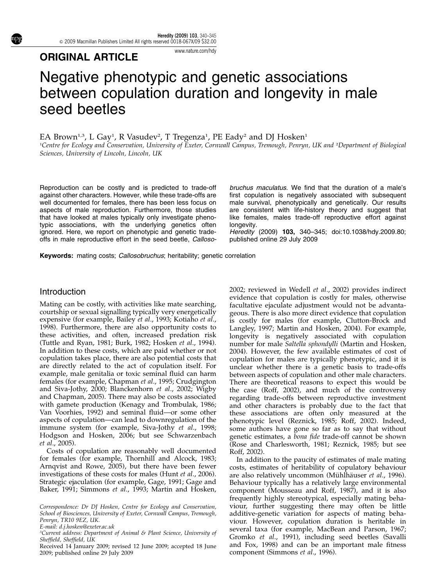Heredity (2009) 103, 340–345 & 2009 Macmillan Publishers Limited All rights reserved 0018-067X/09 \$32.00

## ORIGINAL ARTICLE

# Negative phenotypic and genetic associations between copulation duration and longevity in male seed beetles

[www.nature.com/hdy](http://www.nature.com/hdy)

EA Brown1,3, L Gay1, R Vasudev<sup>2</sup>, T Tregenza<sup>1</sup>, PE Eady<sup>2</sup> and DJ Hosken<sup>1</sup>

1 Centre for Ecology and Conservation, University of Exeter, Cornwall Campus, Tremough, Penryn, UK and <sup>2</sup> Department of Biological Sciences, University of Lincoln, Lincoln, UK

Reproduction can be costly and is predicted to trade-off against other characters. However, while these trade-offs are well documented for females, there has been less focus on aspects of male reproduction. Furthermore, those studies that have looked at males typically only investigate phenotypic associations, with the underlying genetics often ignored. Here, we report on phenotypic and genetic tradeoffs in male reproductive effort in the seed beetle, Callosobruchus maculatus. We find that the duration of a male's first copulation is negatively associated with subsequent male survival, phenotypically and genetically. Our results are consistent with life-history theory and suggest that like females, males trade-off reproductive effort against longevity.

Heredity (2009) 103, 340–345; doi:[10.1038/hdy.2009.80](http://dx.doi.org/10.1038/hdy.2009.80); published online 29 July 2009

Keywords: mating costs; Callosobruchus; heritability; genetic correlation

#### Introduction

Mating can be costly, with activities like mate searching, courtship or sexual signalling typically very energetically expensive (for example, Bailey et al[., 1993;](#page-4-0) [Kotiaho](#page-5-0) et al., [1998\)](#page-5-0). Furthermore, there are also opportunity costs to these activities, and often, increased predation risk ([Tuttle and Ryan, 1981](#page-5-0); [Burk, 1982](#page-4-0); [Hosken](#page-5-0) et al., 1994). In addition to these costs, which are paid whether or not copulation takes place, there are also potential costs that are directly related to the act of copulation itself. For example, male genitalia or toxic seminal fluid can harm females (for example, [Chapman](#page-4-0) et al., 1995; [Crudgington](#page-4-0) [and Siva-Jothy, 2000](#page-4-0); [Blanckenhorn](#page-4-0) et al., 2002; [Wigby](#page-5-0) [and Chapman, 2005](#page-5-0)). There may also be costs associated with gamete production [\(Kenagy and Trombulak, 1986;](#page-5-0) [Van Voorhies, 1992\)](#page-5-0) and seminal fluid—or some other aspects of copulation—can lead to downregulation of the immune system (for example, [Siva-Jothy](#page-5-0) et al., 1998; [Hodgson and Hosken, 2006](#page-4-0); but see [Schwarzenbach](#page-5-0) et al[., 2005](#page-5-0)).

Costs of copulation are reasonably well documented for females (for example, [Thornhill and Alcock, 1983;](#page-5-0) [Arnqvist and Rowe, 2005\)](#page-4-0), but there have been fewer investigations of these costs for males (Hunt et al[., 2006](#page-5-0)). Strategic ejaculation (for example, [Gage, 1991; Gage and](#page-4-0) [Baker, 1991;](#page-4-0) [Simmons](#page-5-0) et al., 1993; [Martin and Hosken,](#page-5-0)

Received 14 January 2009; revised 12 June 2009; accepted 18 June 2009; published online 29 July 2009

[2002;](#page-5-0) reviewed in [Wedell](#page-5-0) et al., 2002) provides indirect evidence that copulation is costly for males, otherwise facultative ejaculate adjustment would not be advantageous. There is also more direct evidence that copulation is costly for males (for example, [Clutton-Brock and](#page-4-0) [Langley, 1997;](#page-4-0) [Martin and Hosken, 2004\)](#page-5-0). For example, longevity is negatively associated with copulation number for male Saltella sphondylli [\(Martin and Hosken,](#page-5-0) [2004\)](#page-5-0). However, the few available estimates of cost of copulation for males are typically phenotypic, and it is unclear whether there is a genetic basis to trade-offs between aspects of copulation and other male characters. There are theoretical reasons to expect this would be the case [\(Roff, 2002](#page-5-0)), and much of the controversy regarding trade-offs between reproductive investment and other characters is probably due to the fact that these associations are often only measured at the phenotypic level [\(Reznick, 1985; Roff, 2002\)](#page-5-0). Indeed, some authors have gone so far as to say that without genetic estimates, a bona fide trade-off cannot be shown [\(Rose and Charlesworth, 1981; Reznick, 1985;](#page-5-0) but see [Roff, 2002\)](#page-5-0).

In addition to the paucity of estimates of male mating costs, estimates of heritability of copulatory behaviour are also relatively uncommon (Mühlhäuser et al., 1996). Behaviour typically has a relatively large environmental component [\(Mousseau and Roff, 1987](#page-5-0)), and it is also frequently highly stereotypical, especially mating behaviour, further suggesting there may often be little additive-genetic variation for aspects of mating behaviour. However, copulation duration is heritable in several taxa (for example, [MacBean and Parson, 1967;](#page-5-0) [Gromko](#page-4-0) et al., 1991), including seed beetles ([Savalli](#page-5-0) [and Fox, 1998](#page-5-0)) and can be an important male fitness component (Simmons *et al.*, 1996).

Correspondence: Dr DJ Hosken, Centre for Ecology and Conservation, School of Biosciences, University of Exeter, Cornwall Campus, Tremough, Penryn, TR10 9EZ, UK.

E-mail: [d.j.hosken@exeter.ac.uk](mailto:d.j.hosken@exeter.ac.uk)

<sup>3</sup> Current address: Department of Animal & Plant Science, University of Sheffield, Sheffield, UK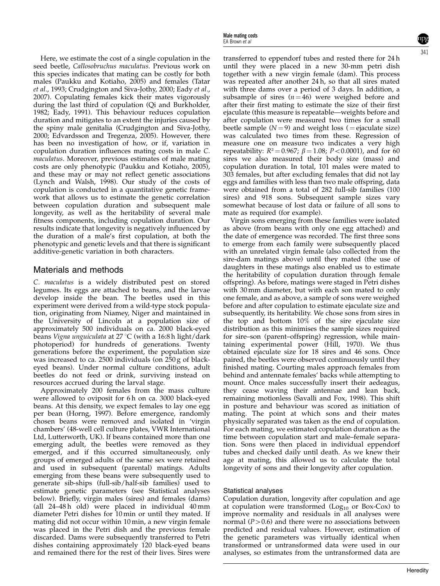Here, we estimate the cost of a single copulation in the seed beetle, Callosobruchus maculatus. Previous work on this species indicates that mating can be costly for both males ([Paukku and Kotiaho, 2005\)](#page-5-0) and females [\(Tatar](#page-5-0) et al[., 1993;](#page-5-0) [Crudgington and Siva-Jothy, 2000](#page-4-0); [Eady](#page-4-0) et al., [2007](#page-4-0)). Copulating females kick their mates vigorously during the last third of copulation [\(Qi and Burkholder,](#page-5-0) [1982](#page-5-0); [Eady, 1991](#page-4-0)). This behaviour reduces copulation duration and mitigates to an extent the injuries caused by the spiny male genitalia [\(Crudgington and Siva-Jothy,](#page-4-0) [2000](#page-4-0); [Edvardsson and Tregenza, 2005\)](#page-4-0). However, there has been no investigation of how, or if, variation in copulation duration influences mating costs in male C. maculatus. Moreover, previous estimates of male mating costs are only phenotypic [\(Paukku and Kotiaho, 2005\)](#page-5-0), and these may or may not reflect genetic associations [\(Lynch and Walsh, 1998](#page-5-0)). Our study of the costs of copulation is conducted in a quantitative genetic framework that allows us to estimate the genetic correlation between copulation duration and subsequent male longevity, as well as the heritability of several male fitness components, including copulation duration. Our results indicate that longevity is negatively influenced by the duration of a male's first copulation, at both the phenotypic and genetic levels and that there is significant additive-genetic variation in both characters.

### Materials and methods

C. maculatus is a widely distributed pest on stored legumes. Its eggs are attached to beans, and the larvae develop inside the bean. The beetles used in this experiment were derived from a wild-type stock population, originating from Niamey, Niger and maintained in the University of Lincoln at a population size of approximately 500 individuals on ca. 2000 black-eyed beans Vigna unguiculata at 27 °C (with a 16:8 h light/dark photoperiod) for hundreds of generations. Twenty generations before the experiment, the population size was increased to ca. 2500 individuals (on 250 g of blackeyed beans). Under normal culture conditions, adult beetles do not feed or drink, surviving instead on resources accrued during the larval stage.

Approximately 200 females from the mass culture were allowed to oviposit for 6 h on ca. 3000 black-eyed beans. At this density, we expect females to lay one egg per bean [\(Horng, 1997](#page-5-0)). Before emergence, randomly chosen beans were removed and isolated in 'virgin chambers' (48-well cell culture plates, VWR International Ltd, Lutterworth, UK). If beans contained more than one emerging adult, the beetles were removed as they emerged, and if this occurred simultaneously, only groups of emerged adults of the same sex were retained and used in subsequent (parental) matings. Adults emerging from these beans were subsequently used to generate sib-ships (full-sib/half-sib families) used to estimate genetic parameters (see Statistical analyses below). Briefly, virgin males (sires) and females (dams) (all 24–48 h old) were placed in individual 40 mm diameter Petri dishes for 10 min or until they mated. If mating did not occur within 10 min, a new virgin female was placed in the Petri dish and the previous female discarded. Dams were subsequently transferred to Petri dishes containing approximately 120 black-eyed beans and remained there for the rest of their lives. Sires were transferred to eppendorf tubes and rested there for 24 h until they were placed in a new 30-mm petri dish together with a new virgin female (dam). This process was repeated after another 24 h, so that all sires mated with three dams over a period of 3 days. In addition, a subsample of sires  $(n = 46)$  were weighed before and after their first mating to estimate the size of their first ejaculate (this measure is repeatable—weights before and after copulation were measured two times for a small beetle sample  $(N = 9)$  and weight loss (= ejaculate size) was calculated two times from these. Regression of measure one on measure two indicates a very high repeatability:  $R^2 = 0.967$ ;  $\beta = 1.08$ ; P < 0.0001), and for 60 sires we also measured their body size (mass) and copulation duration. In total, 101 males were mated to 303 females, but after excluding females that did not lay eggs and families with less than two male offspring, data were obtained from a total of 282 full-sib families (100 sires) and 918 sons. Subsequent sample sizes vary somewhat because of lost data or failure of all sons to mate as required (for example).

Virgin sons emerging from these families were isolated as above (from beans with only one egg attached) and the date of emergence was recorded. The first three sons to emerge from each family were subsequently placed with an unrelated virgin female (also collected from the sire-dam matings above) until they mated (the use of daughters in these matings also enabled us to estimate the heritability of copulation duration through female offspring). As before, matings were staged in Petri dishes with 30 mm diameter, but with each son mated to only one female, and as above, a sample of sons were weighed before and after copulation to estimate ejaculate size and subsequently, its heritability. We chose sons from sires in the top and bottom 10% of the sire ejaculate size distribution as this minimises the sample sizes required for sire–son (parent–offspring) regression, while maintaining experimental power [\(Hill, 1970\)](#page-4-0). We thus obtained ejaculate size for 18 sires and 46 sons. Once paired, the beetles were observed continuously until they finished mating. Courting males approach females from behind and antennate females' backs while attempting to mount. Once males successfully insert their aedeagus, they cease waving their antennae and lean back, remaining motionless [\(Savalli and Fox, 1998](#page-5-0)). This shift in posture and behaviour was scored as initiation of mating. The point at which sons and their mates physically separated was taken as the end of copulation. For each mating, we estimated copulation duration as the time between copulation start and male–female separation. Sons were then placed in individual eppendorf tubes and checked daily until death. As we knew their age at mating, this allowed us to calculate the total longevity of sons and their longevity after copulation.

#### Statistical analyses

Copulation duration, longevity after copulation and age at copulation were transformed  $(Log<sub>10</sub> or Box-Cox)$  to improve normality and residuals in all analyses were normal ( $P > 0.6$ ) and there were no associations between predicted and residual values. However, estimation of the genetic parameters was virtually identical when transformed or untransformed data were used in our analyses, so estimates from the untransformed data are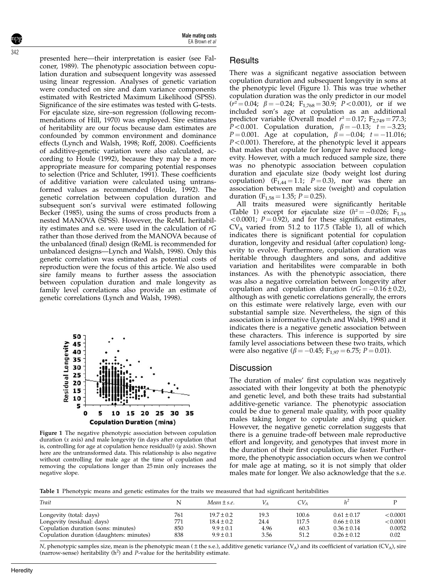342

presented here—their interpretation is easier (see [Fal](#page-4-0)[coner, 1989](#page-4-0)). The phenotypic association between copulation duration and subsequent longevity was assessed using linear regression. Analyses of genetic variation were conducted on sire and dam variance components estimated with Restricted Maximum Likelihood (SPSS). Significance of the sire estimates was tested with G-tests. For ejaculate size, sire–son regression (following recommendations of [Hill, 1970\)](#page-4-0) was employed. Sire estimates of heritability are our focus because dam estimates are confounded by common environment and dominance effects [\(Lynch and Walsh, 1998](#page-5-0); [Roff, 2008\)](#page-5-0). Coefficients of additive-genetic variation were also calculated, according to [Houle \(1992\),](#page-5-0) because they may be a more appropriate measure for comparing potential responses to selection [\(Price and Schluter, 1991\)](#page-5-0). These coefficients of additive variation were calculated using untransformed values as recommended ([Houle, 1992\)](#page-5-0). The genetic correlation between copulation duration and subsequent son's survival were estimated following [Becker \(1985\),](#page-4-0) using the sums of cross products from a nested MANOVA (SPSS). However, the ReML heritability estimates and s.e. were used in the calculation of rG rather than those derived from the MANOVA because of the unbalanced (final) design (ReML is recommended for unbalanced designs[—Lynch and Walsh, 1998](#page-5-0)). Only this genetic correlation was estimated as potential costs of reproduction were the focus of this article. We also used sire family means to further assess the association between copulation duration and male longevity as family level correlations also provide an estimate of genetic correlations [\(Lynch and Walsh, 1998\)](#page-5-0).



Figure 1 The negative phenotypic association between copulation duration  $(x \text{ axis})$  and male longevity (in days after copulation (that is, controlling for age at copulation hence residual)) (y axis). Shown here are the untransformed data. This relationship is also negative without controlling for male age at the time of copulation and removing the copulations longer than 25 min only increases the negative slope.

### **Results**

There was a significant negative association between copulation duration and subsequent longevity in sons at the phenotypic level (Figure 1). This was true whether copulation duration was the only predictor in our model  $(r^2 = 0.04; \beta = -0.24; F_{1,768} = 30.9; P < 0.001$ , or if we included son's age at copulation as an additional predictor variable (Overall model  $r^2 = 0.17$ ; F<sub>2,749</sub> = 77.3; *P*<0.001. Copulation duration,  $\beta = -0.13$ ;  $t = -3.23$ ;  $P = 0.001$ . Age at copulation,  $\beta = -0.04; t = -11.016;$  $P < 0.001$ ). Therefore, at the phenotypic level it appears that males that copulate for longer have reduced longevity. However, with a much reduced sample size, there was no phenotypic association between copulation duration and ejaculate size (body weight lost during copulation)  $(F_{1,44} = 1.1; P = 0.3)$ , nor was there an association between male size (weight) and copulation duration ( $F_{1,58} = 1.35$ ;  $P = 0.25$ ).

All traits measured were significantly heritable (Table 1) except for ejaculate size ( $h^2 = -0.026$ ; F<sub>1,16</sub>  $<$  0.0001; P = 0.92), and for these significant estimates,  $CV_A$  varied from 51.2 to 117.5 (Table 1), all of which indicates there is significant potential for copulation duration, longevity and residual (after copulation) longevity to evolve. Furthermore, copulation duration was heritable through daughters and sons, and additive variation and heritabilites were comparable in both instances. As with the phenotypic association, there was also a negative correlation between longevity after copulation and copulation duration  $(rG = -0.16 \pm 0.2)$ , although as with genetic correlations generally, the errors on this estimate were relatively large, even with our substantial sample size. Nevertheless, the sign of this association is informative [\(Lynch and Walsh, 1998\)](#page-5-0) and it indicates there is a negative genetic association between these characters. This inference is supported by sire family level associations between these two traits, which were also negative ( $\beta = -0.45$ ; F<sub>1,97</sub> = 6.75; P = 0.01).

#### **Discussion**

The duration of males' first copulation was negatively associated with their longevity at both the phenotypic and genetic level, and both these traits had substantial additive-genetic variance. The phenotypic association could be due to general male quality, with poor quality males taking longer to copulate and dying quicker. However, the negative genetic correlation suggests that there is a genuine trade-off between male reproductive effort and longevity, and genotypes that invest more in the duration of their first copulation, die faster. Furthermore, the phenotypic association occurs when we control for male age at mating, so it is not simply that older males mate for longer. We also acknowledge that the s.e.

Table 1 Phenotypic means and genetic estimates for the traits we measured that had significant heritabilities

| Trait                                    | N   | Mean $\pm$ s.e. |      | $CV_A$ |                 |          |
|------------------------------------------|-----|-----------------|------|--------|-----------------|----------|
| Longevity (total: days)                  | 761 | $19.7 \pm 0.2$  | 19.3 | 100.6  | $0.61 \pm 0.17$ | < 0.0001 |
| Longevity (residual: days)               | 771 | $18.4 \pm 0.2$  | 24.4 | 117.5  | $0.66 \pm 0.18$ | < 0.0001 |
| Copulation duration (sons: minutes)      | 850 | $9.9 \pm 0.1$   | 4.96 | 60.3   | $0.36 \pm 0.14$ | 0.0052   |
| Copulation duration (daughters: minutes) | 838 | $9.9 \pm 0.1$   | 3.56 | 51.2   | $0.26 \pm 0.12$ | 0.02     |

N, phenotypic samples size, mean is the phenotypic mean ( $\pm$  the s.e.), additive genetic variance (V<sub>A</sub>) and its coefficient of variation (CV<sub>A</sub>), sire (narrow-sense) heritability  $(h^2)$  and *P*-value for the heritability estimate.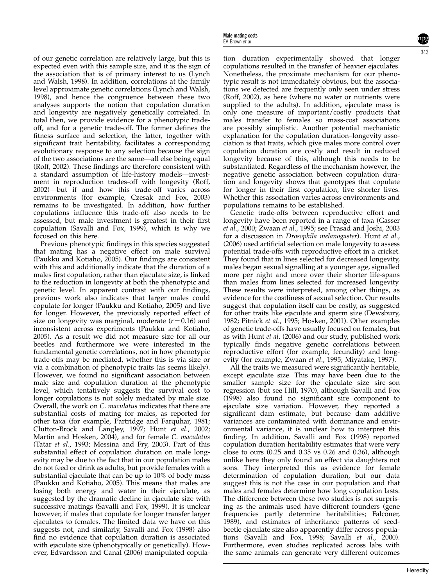of our genetic correlation are relatively large, but this is expected even with this sample size, and it is the sign of the association that is of primary interest to us ([Lynch](#page-5-0) [and Walsh, 1998](#page-5-0)). In addition, correlations at the family level approximate genetic correlations ([Lynch and Walsh,](#page-5-0) [1998](#page-5-0)), and hence the congruence between these two analyses supports the notion that copulation duration and longevity are negatively genetically correlated. In total then, we provide evidence for a phenotypic tradeoff, and for a genetic trade-off. The former defines the fitness surface and selection, the latter, together with significant trait heritability, facilitates a corresponding evolutionary response to any selection because the sign of the two associations are the same—all else being equal [\(Roff, 2002](#page-5-0)). These findings are therefore consistent with a standard assumption of life-history models—investment in reproduction trades-off with longevity [\(Roff,](#page-5-0) [2002](#page-5-0))—but if and how this trade-off varies across environments (for example, [Czesak and Fox, 2003](#page-4-0)) remains to be investigated. In addition, how further copulations influence this trade-off also needs to be assessed, but male investment is greatest in their first copulation [\(Savalli and Fox, 1999\)](#page-5-0), which is why we focused on this here.

Previous phenotypic findings in this species suggested that mating has a negative effect on male survival [\(Paukku and Kotiaho, 2005](#page-5-0)). Our findings are consistent with this and additionally indicate that the duration of a males first copulation, rather than ejaculate size, is linked to the reduction in longevity at both the phenotypic and genetic level. In apparent contrast with our findings, previous work also indicates that larger males could copulate for longer [\(Paukku and Kotiaho, 2005\)](#page-5-0) and live for longer. However, the previously reported effect of size on longevity was marginal, moderate  $(r = 0.16)$  and inconsistent across experiments ([Paukku and Kotiaho,](#page-5-0) [2005](#page-5-0)). As a result we did not measure size for all our beetles and furthermore we were interested in the fundamental genetic correlations, not in how phenotypic trade-offs may be mediated, whether this is via size or via a combination of phenotypic traits (as seems likely). However, we found no significant association between male size and copulation duration at the phenotypic level, which tentatively suggests the survival cost to longer copulations is not solely mediated by male size. Overall, the work on C. maculatus indicates that there are substantial costs of mating for males, as reported for other taxa (for example, [Partridge and Farquhar, 1981](#page-5-0); [Clutton-Brock and Langley, 1997](#page-4-0); Hunt et al[., 2002](#page-5-0); [Martin and Hosken, 2004](#page-5-0)), and for female C. maculatus (Tatar et al[., 1993](#page-5-0); [Messina and Fry, 2003](#page-5-0)). Part of this substantial effect of copulation duration on male longevity may be due to the fact that in our population males do not feed or drink as adults, but provide females with a substantial ejaculate that can be up to 10% of body mass [\(Paukku and Kotiaho, 2005](#page-5-0)). This means that males are losing both energy and water in their ejaculate, as suggested by the dramatic decline in ejaculate size with successive matings ([Savalli and Fox, 1999](#page-5-0)). It is unclear however, if males that copulate for longer transfer larger ejaculates to females. The limited data we have on this suggests not, and similarly, [Savalli and Fox \(1998\)](#page-5-0) also find no evidence that copulation duration is associated with ejaculate size (phenotypically or genetically). However, [Edvardsson and Canal \(2006\)](#page-4-0) manipulated copulation duration experimentally showed that longer copulations resulted in the transfer of heavier ejaculates. Nonetheless, the proximate mechanism for our phenotypic result is not immediately obvious, but the associations we detected are frequently only seen under stress ([Roff, 2002](#page-5-0)), as here (where no water or nutrients were supplied to the adults). In addition, ejaculate mass is only one measure of important/costly products that males transfer to females so mass-cost associations are possibly simplistic. Another potential mechanistic explanation for the copulation duration–longevity association is that traits, which give males more control over copulation duration are costly and result in reduced longevity because of this, although this needs to be substantiated. Regardless of the mechanism however, the negative genetic association between copulation duration and longevity shows that genotypes that copulate for longer in their first copulation, live shorter lives. Whether this association varies across environments and populations remains to be established.

Genetic trade-offs between reproductive effort and longevity have been reported in a range of taxa [\(Gasser](#page-4-0) et al[., 2000](#page-4-0); [Zwaan](#page-5-0) et al., 1995; see [Prasad and Joshi, 2003](#page-5-0) for a discussion in Drosophila melanogaster). [Hunt](#page-5-0) et al., [\(2006\)](#page-5-0) used artificial selection on male longevity to assess potential trade-offs with reproductive effort in a cricket. They found that in lines selected for decreased longevity, males began sexual signalling at a younger age, signalled more per night and more over their shorter life-spans than males from lines selected for increased longevity. These results were interpreted, among other things, as evidence for the costliness of sexual selection. Our results suggest that copulation itself can be costly, as suggested for other traits like ejaculate and sperm size [\(Dewsbury,](#page-4-0) [1982](#page-4-0); [Pitnick](#page-5-0) et al., 1995; [Hosken, 2001\)](#page-5-0). Other examples of genetic trade-offs have usually focused on females, but as with Hunt et al[. \(2006\)](#page-5-0) and our study, published work typically finds negative genetic correlations between reproductive effort (for example, fecundity) and longevity (for example, [Zwaan](#page-5-0) et al., 1995; [Miyatake, 1997\)](#page-5-0).

All the traits we measured were significantly heritable, except ejaculate size. This may have been due to the smaller sample size for the ejaculate size sire–son regression (but see [Hill, 1970](#page-4-0)), although [Savalli and Fox](#page-5-0) [\(1998\)](#page-5-0) also found no significant sire component to ejaculate size variation. However, they reported a significant dam estimate, but because dam additive variances are contaminated with dominance and environmental variance, it is unclear how to interpret this finding. In addition, [Savalli and Fox \(1998\)](#page-5-0) reported copulation duration heritability estimates that were very close to ours (0.25 and 0.35 vs 0.26 and 0.36), although unlike here they only found an effect via daughters not sons. They interpreted this as evidence for female determination of copulation duration, but our data suggest this is not the case in our population and that males and females determine how long copulation lasts. The difference between these two studies is not surprising as the animals used have different founders (gene frequencies partly determine heritabilities; [Falconer,](#page-4-0) [1989](#page-4-0)), and estimates of inheritance patterns of seedbeetle ejaculate size also apparently differ across populations ([Savalli and Fox, 1998](#page-5-0); Savalli et al[., 2000\)](#page-5-0). Furthermore, even studies replicated across labs with the same animals can generate very different outcomes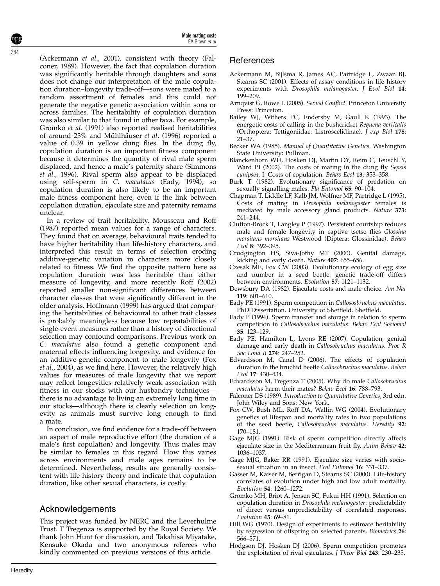<span id="page-4-0"></span>(Ackermann et al., 2001), consistent with theory (Falconer, 1989). However, the fact that copulation duration was significantly heritable through daughters and sons does not change our interpretation of the male copulation duration–longevity trade-off—sons were mated to a random assortment of females and this could not generate the negative genetic association within sons or across families. The heritability of copulation duration was also similar to that found in other taxa. For example, Gromko et al. (1991) also reported realised heritabilities of around 23% and Mühlhäuser et al. (1996) reported a value of 0.39 in yellow dung flies. In the dung fly, copulation duration is an important fitness component because it determines the quantity of rival male sperm displaced, and hence a male's paternity share ([Simmons](#page-5-0) et al[., 1996\)](#page-5-0). Rival sperm also appear to be displaced using self-sperm in C. maculatus (Eady, 1994), so copulation duration is also likely to be an important male fitness component here, even if the link between copulation duration, ejaculate size and paternity remains unclear.

In a review of trait heritability, [Mousseau and Roff](#page-5-0) [\(1987\)](#page-5-0) reported mean values for a range of characters. They found that on average, behavioural traits tended to have higher heritability than life-history characters, and interpreted this result in terms of selection eroding additive-genetic variation in characters more closely related to fitness. We find the opposite pattern here as copulation duration was less heritable than either measure of longevity, and more recently [Roff \(2002\)](#page-5-0) reported smaller non-significant differences between character classes that were significantly different in the older analysis. [Hoffmann \(1999\)](#page-5-0) has argued that comparing the heritabilities of behavioural to other trait classes is probably meaningless because low repeatabilities of single-event measures rather than a history of directional selection may confound comparisons. Previous work on C. maculatus also found a genetic component and maternal effects influencing longevity, and evidence for an additive-genetic component to male longevity (Fox et al., 2004), as we find here. However, the relatively high values for measures of male longevity that we report may reflect longevities relatively weak association with fitness in our stocks with our husbandry techniques there is no advantage to living an extremely long time in our stocks—although there is clearly selection on longevity as animals must survive long enough to find a mate.

In conclusion, we find evidence for a trade-off between an aspect of male reproductive effort (the duration of a male's first copulation) and longevity. Thus males may be similar to females in this regard. How this varies across environments and male ages remains to be determined. Nevertheless, results are generally consistent with life-history theory and indicate that copulation duration, like other sexual characters, is costly.

## Acknowledgements

This project was funded by NERC and the Leverhulme Trust. T Tregenza is supported by the Royal Society. We thank John Hunt for discussion, and Takahisa Miyatake, Kensuke Okada and two anonymous referees who kindly commented on previous versions of this article.

## References

- Ackermann M, Bijlsma R, James AC, Partridge L, Zwaan BJ, Stearns SC (2001). Effects of assay conditions in life history experiments with Drosophila melanogaster. J Evol Biol 14: 199–209.
- Arnqvist G, Rowe L (2005). Sexual Conflict. Princeton University Press: Princeton.
- Bailey WJ, Withers PC, Endersby M, Gaull K (1993). The energetic costs of calling in the bushcricket Requena verticalis (Orthoptera: Tettigoniidae: Listroscelidinae). J exp Biol 178: 21–37.
- Becker WA (1985). Manual of Quantitative Genetics. Washington State University: Pullman.
- Blanckenhorn WU, Hosken DJ, Martin OY, Reim C, Teuschl Y, Ward PI (2002). The costs of mating in the dung fly Sepsis cynipsea. I. Costs of copulation. Behav Ecol 13: 353–358.
- Burk T (1982). Evolutionary significance of predation on sexually signalling males. Fla Entomol 65: 90–104.
- Chapman T, Liddle LF, Kalb JM, Wolfner MF, Partridge L (1995). Costs of mating in Drosophila melanogaster females is mediated by male accessory gland products. Nature 373: 241–244.
- Clutton-Brock T, Langley P (1997). Persistent courtship reduces male and female longevity in captive tsetse flies Glossina morsitans morsitans Westwood (Diptera: Glossinidae). Behav Ecol 8: 392–395.
- Crudgington HS, Siva-Jothy MT (2000). Genital damage, kicking and early death. Nature 407: 655–656.
- Czesak ME, Fox CW (2003). Evolutionary ecology of egg size and number in a seed beetle: genetic trade-off differs between environments. Evolution 57: 1121–1132.
- Dewsbury DA (1982). Ejaculate costs and male choice. Am Nat 119: 601–610.
- Eady PE (1991). Sperm competition in Callososbruchus maculatus. PhD Dissertation. University of Sheffield. Sheffield.
- Eady P (1994). Sperm transfer and storage in relation to sperm competition in Callosobruchus maculatus. Behav Ecol Sociobiol 35: 123–129.
- Eady PE, Hamilton L, Lyons RE (2007). Copulation, genital damage and early death in Callosobruchus maculatus. Proc R Soc Lond B 274: 247–252.
- Edvardsson M, Canal D (2006). The effects of copulation duration in the bruchid beetle Callosobruchus maculatus. Behav Ecol 17: 430–434.
- Edvardsson M, Tregenza T (2005). Why do male Callosobruchus maculatus harm their mates? Behav Ecol 16: 788–793.
- Falconer DS (1989). Introduction to Quantitative Genetics, 3rd edn. John Wiley and Sons: New York.
- Fox CW, Bush ML, Roff DA, Wallin WG (2004). Evolutionary genetics of lifespan and mortality rates in two populations of the seed beetle, Callosobruchus maculatus. Heredity 92: 170–181.
- Gage MJG (1991). Risk of sperm competition directly affects ejaculate size in the Mediterranean fruit fly. Anim Behav 42: 1036–1037.
- Gage MJG, Baker RR (1991). Ejaculate size varies with sociosexual situation in an insect. Ecol Entomol 16: 331–337.
- Gasser M, Kaiser M, Berrigan D, Stearns SC (2000). Life-history correlates of evolution under high and low adult mortality. Evolution 54: 1260–1272.
- Gromko MH, Briot A, Jensen SC, Fukui HH (1991). Selection on copulation duration in Drosophila melanogaster: predictability of direct versus unpredictability of correlated responses. Evolution 45: 69–81.
- Hill WG (1970). Design of experiments to estimate heritability by regression of offspring on selected parents. Biometrics 26: 566–571.
- Hodgson DJ, Hosken DJ (2006). Sperm competition promotes the exploitation of rival ejaculates. J Theor Biol 243: 230–235.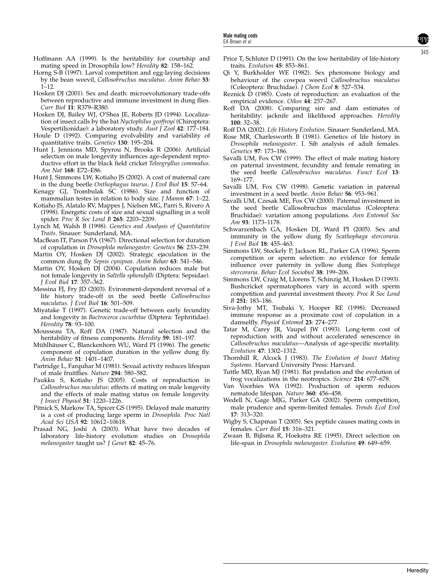- <span id="page-5-0"></span>Hoffmann AA (1999). Is the heritability for courtship and mating speed in Drosophila low? Heredity 82: 158–162.
- Horng S-B (1997). Larval competition and egg-laying decisions by the bean weevil, Callosobruchus maculatus. Anim Behav 53:  $1 - 12$
- Hosken DJ (2001). Sex and death: microevolutionary trade-offs between reproductive and immune investment in dung flies. Curr Biol 11: R379-R380.
- Hosken DJ, Bailey WJ, O'Shea JE, Roberts JD (1994). Localization of insect calls by the bat Nyctophilus geoffroyi (Chiroptera: Vespertilionidae): a laboratory study. Aust J Zool 42: 177-184.
- Houle D (1992). Comparing evolvability and variability of quantitative traits. Genetics 130: 195–204.
- Hunt J, Jennions MD, Spyrou N, Brooks R (2006). Artificial selection on male longevity influences age-dependent reproductive effort in the black field cricket Teleogryllus commodus. Am Nat 168: E72–E86.
- Hunt J, Simmons LW, Kotiaho JS (2002). A cost of maternal care in the dung beetle Onthophagus taurus. J Evol Biol 15: 57–64.
- Kenagy GJ, Trombulak SC (1986). Size and function of mammalian testes in relation to body size. *J Mamm* 67: 1-22.
- Kotiaho JS, Alatalo RV, Mappes J, Nielsen MG, Parri S, Rivero A (1998). Energetic costs of size and sexual signalling in a wolf spider. Proc R Soc Lond B 265: 2203-2209.
- Lynch M, Walsh B (1998). Genetics and Analysis of Quantitative Traits. Sinauer: Sunderland, MA.
- MacBean IT, Parson PA (1967). Directional selection for duration of copulation in Drosophila melanogaster. Genetics 56: 233–239.
- Martin OY, Hosken DJ (2002). Strategic ejaculation in the common dung fly Sepsis cynipsea. Anim Behav 63: 541–546.
- Martin OY, Hosken DJ (2004). Copulation reduces male but not female longevity in Saltella sphondylli (Diptera: Sepsidae). J Evol Biol 17: 357–362.
- Messina FJ, Fry JD (2003). Evironment-dependent reversal of a life history trade-off in the seed beetle Callosobruchus maculatus. J Evol Biol 16: 501-509.
- Miyatake T (1997). Genetic trade-off between early fecundity and longevity in Bactrocerca cucurbitae (Diptera: Tephritidae). Heredity 78: 93–100.
- Mousseau TA, Roff DA (1987). Natural selection and the heritability of fitness components. Heredity 59: 181–197.
- Mühlhäuser C, Blanckenhorn WU, Ward PI (1996). The genetic component of copulation duration in the yellow dung fly. Anim Behav 51: 1401–1407.
- Partridge L, Farquhar M (1981). Sexual activity reduces lifespan of male fruitflies. Nature 294: 580–582.
- Paukku S, Kotiaho JS (2005). Costs of reproduction in Callosobruchus maculatus: effects of mating on male longevity and the effects of male mating status on female longevity. J Insect Physiol 51: 1220–1226.
- Pitnick S, Markow TA, Spicer GS (1995). Delayed male maturity is a cost of producing large sperm in Drosophila. Proc Natl Acad Sci USA 92: 10612–10618.
- Prasad NG, Joshi A (2003). What have two decades of laboratory life-history evolution studies on Drosophila melanogaster taught us? J Genet 82: 45-76.
- Price T, Schluter D (1991). On the low heritability of life-history traits. Evolution 45: 853–861.
- Qi Y, Burkholder WE (1982). Sex pheromone biology and behaviour of the cowpea weevil Callosobruchus maculatus (Coleoptera: Bruchidae). J Chem Ecol 8: 527–534.
- Reznick D (1985). Costs of reproduction: an evaluation of the empirical evidence. Oikos 44: 257–267.
- Roff DA (2008). Comparing sire and dam estimates of heritability: jacknife and likelihood approaches. Heredity 100: 32–38.
- Roff DA (2002). Life History Evolution. Sinauer: Sunderland, MA.
- Rose MR, Charlesworth B (1981). Genetics of life history in Drosophila melanogaster. I. Sib analysis of adult females. Genetics 97: 173–186.
- Savalli UM, Fox CW (1999). The effect of male mating history on paternal investment, fecundity and female remating in the seed beetle Callosobruchus maculatus. Funct Ecol 13: 169–177.
- Savalli UM, Fox CW (1998). Genetic variation in paternal investment in a seed beetle. Anim Behav 56: 953–961.
- Savalli UM, Czesak ME, Fox CW (2000). Paternal investment in the seed beetle Callosobruchus maculatus (Coleoptera: Bruchidae): variation among populations. Ann Entomol Soc Am 93: 1173–1178.
- Schwarzenbach GA, Hosken DJ, Ward PI (2005). Sex and immunity in the yellow dung fly Scathophaga stercoraria. J Evol Biol 18: 455–463.
- Simmons LW, Stockely P, Jackson RL, Parker GA (1996). Sperm competition or sperm selection: no evidence for female influence over paternity in yellow dung flies Scatophaga stercoraria. Behav Ecol Sociobiol 38: 199–206.
- Simmons LW, Craig M, Llorens T, Schinzig M, Hosken D (1993). Bushcricket spermatophores vary in accord with sperm competition and parental investment theory. Proc R Soc Lond B 251: 183–186.
- Siva-Jothy MT, Tsubaki Y, Hooper RE (1998). Decreased immune response as a proximate cost of copulation in a damselfly. Physiol Entomol 23: 274–277.
- Tatar M, Carey JR, Vaupel JW (1993). Long-term cost of reproduction with and without accelerated senescence in Callosobruchus maculatus—Analysis of age-specific mortality. Evolution 47: 1302–1312.
- Thornhill R, Alcock J (1983). The Evolution of Insect Mating Systems. Harvard University Press: Harvard.
- Tuttle MD, Ryan MJ (1981). Bat predation and the evolution of frog vocalizations in the neotropics. Science 214: 677–678.
- Van Voorhies WA (1992). Production of sperm reduces nematode lifespan. Nature 360: 456–458.
- Wedell N, Gage MJG, Parker GA (2002). Sperm competition, male prudence and sperm-limited females. Trends Ecol Evol 17: 313–320.
- Wigby S, Chapman T (2005). Sex peptide causes mating costs in females. Curr Biol 15: 316–321.
- Zwaan B, Bijlsma R, Hoekstra RE (1995). Direct selection on life-span in Drosophila melanogaster. Evolution 49: 649–659.